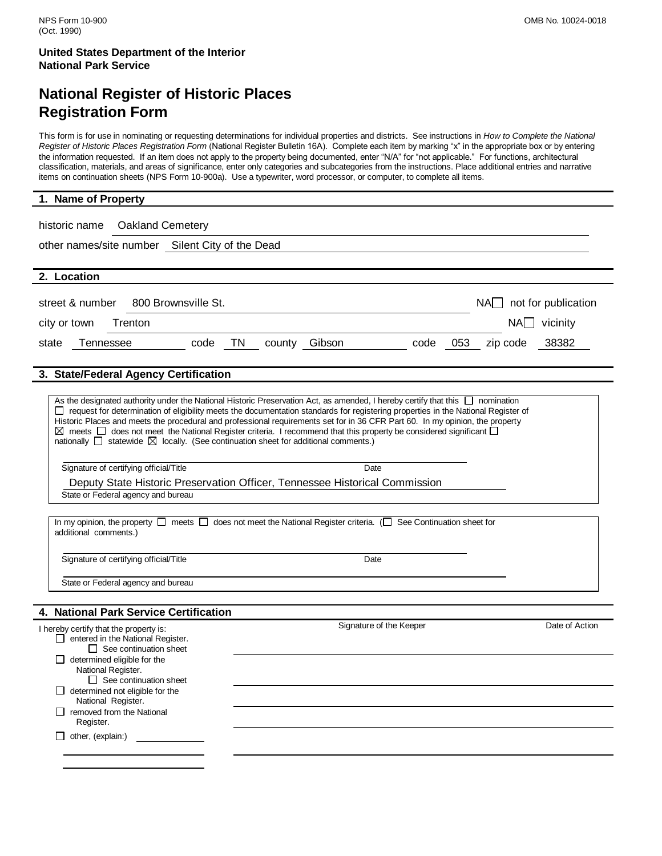## **National Register of Historic Places Registration Form**

This form is for use in nominating or requesting determinations for individual properties and districts. See instructions in *How to Complete the National Register of Historic Places Registration Form* (National Register Bulletin 16A). Complete each item by marking "x" in the appropriate box or by entering the information requested. If an item does not apply to the property being documented, enter "N/A" for "not applicable." For functions, architectural classification, materials, and areas of significance, enter only categories and subcategories from the instructions. Place additional entries and narrative items on continuation sheets (NPS Form 10-900a). Use a typewriter, word processor, or computer, to complete all items.

#### **1. Name of Property**

| <b>Oakland Cemetery</b><br>historic name                                                                                                                  |                                                                                                                                                                                                                                                                                                                                                                                                                                                                                                                                                           |                          |  |  |  |  |
|-----------------------------------------------------------------------------------------------------------------------------------------------------------|-----------------------------------------------------------------------------------------------------------------------------------------------------------------------------------------------------------------------------------------------------------------------------------------------------------------------------------------------------------------------------------------------------------------------------------------------------------------------------------------------------------------------------------------------------------|--------------------------|--|--|--|--|
| other names/site number Silent City of the Dead                                                                                                           |                                                                                                                                                                                                                                                                                                                                                                                                                                                                                                                                                           |                          |  |  |  |  |
|                                                                                                                                                           |                                                                                                                                                                                                                                                                                                                                                                                                                                                                                                                                                           |                          |  |  |  |  |
| 2. Location                                                                                                                                               |                                                                                                                                                                                                                                                                                                                                                                                                                                                                                                                                                           |                          |  |  |  |  |
| 800 Brownsville St.<br>street & number                                                                                                                    |                                                                                                                                                                                                                                                                                                                                                                                                                                                                                                                                                           | $NA$ not for publication |  |  |  |  |
| $NA$ vicinity<br>city or town<br>Trenton                                                                                                                  |                                                                                                                                                                                                                                                                                                                                                                                                                                                                                                                                                           |                          |  |  |  |  |
| <b>Tennessee</b><br>code<br>TN<br>state                                                                                                                   | county<br>Gibson<br>code                                                                                                                                                                                                                                                                                                                                                                                                                                                                                                                                  | 38382<br>053<br>zip code |  |  |  |  |
| 3. State/Federal Agency Certification                                                                                                                     |                                                                                                                                                                                                                                                                                                                                                                                                                                                                                                                                                           |                          |  |  |  |  |
|                                                                                                                                                           |                                                                                                                                                                                                                                                                                                                                                                                                                                                                                                                                                           |                          |  |  |  |  |
| nationally $\Box$ statewide $\boxtimes$ locally. (See continuation sheet for additional comments.)                                                        | As the designated authority under the National Historic Preservation Act, as amended, I hereby certify that this $\Box$ nomination<br>$\Box$ request for determination of eligibility meets the documentation standards for registering properties in the National Register of<br>Historic Places and meets the procedural and professional requirements set for in 36 CFR Part 60. In my opinion, the property<br>$\boxtimes$ meets $\Box$ does not meet the National Register criteria. I recommend that this property be considered significant $\Box$ |                          |  |  |  |  |
| Signature of certifying official/Title                                                                                                                    | Date                                                                                                                                                                                                                                                                                                                                                                                                                                                                                                                                                      |                          |  |  |  |  |
|                                                                                                                                                           | Deputy State Historic Preservation Officer, Tennessee Historical Commission                                                                                                                                                                                                                                                                                                                                                                                                                                                                               |                          |  |  |  |  |
| State or Federal agency and bureau                                                                                                                        |                                                                                                                                                                                                                                                                                                                                                                                                                                                                                                                                                           |                          |  |  |  |  |
| additional comments.)                                                                                                                                     | In my opinion, the property $\Box$ meets $\Box$ does not meet the National Register criteria. ( $\Box$ See Continuation sheet for                                                                                                                                                                                                                                                                                                                                                                                                                         |                          |  |  |  |  |
| Signature of certifying official/Title                                                                                                                    | Date                                                                                                                                                                                                                                                                                                                                                                                                                                                                                                                                                      |                          |  |  |  |  |
| State or Federal agency and bureau                                                                                                                        |                                                                                                                                                                                                                                                                                                                                                                                                                                                                                                                                                           |                          |  |  |  |  |
|                                                                                                                                                           |                                                                                                                                                                                                                                                                                                                                                                                                                                                                                                                                                           |                          |  |  |  |  |
| 4. National Park Service Certification                                                                                                                    |                                                                                                                                                                                                                                                                                                                                                                                                                                                                                                                                                           |                          |  |  |  |  |
| I hereby certify that the property is:<br>$\Box$ entered in the National Register.<br>$\Box$ See continuation sheet<br>$\Box$ determined eligible for the | Signature of the Keeper                                                                                                                                                                                                                                                                                                                                                                                                                                                                                                                                   | Date of Action           |  |  |  |  |
| National Register.<br>$\Box$ See continuation sheet                                                                                                       |                                                                                                                                                                                                                                                                                                                                                                                                                                                                                                                                                           |                          |  |  |  |  |
| $\Box$ determined not eligible for the<br>National Register.                                                                                              |                                                                                                                                                                                                                                                                                                                                                                                                                                                                                                                                                           |                          |  |  |  |  |
| $\Box$ removed from the National<br>Register.                                                                                                             |                                                                                                                                                                                                                                                                                                                                                                                                                                                                                                                                                           |                          |  |  |  |  |
| $\Box$ other, (explain:)                                                                                                                                  |                                                                                                                                                                                                                                                                                                                                                                                                                                                                                                                                                           |                          |  |  |  |  |
|                                                                                                                                                           |                                                                                                                                                                                                                                                                                                                                                                                                                                                                                                                                                           |                          |  |  |  |  |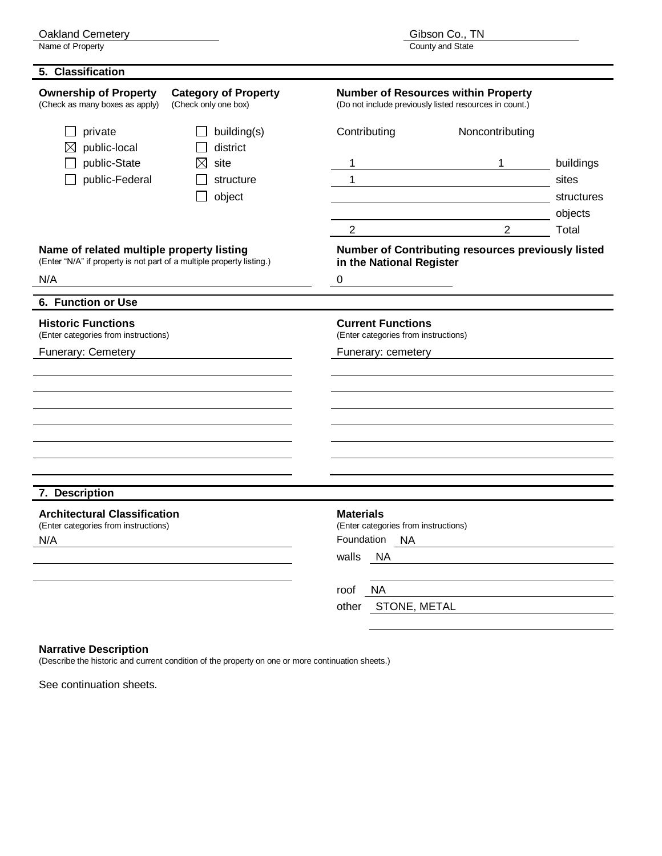Oakland Cemetery<br>Name of Property

| 5. Classification                                                                                                  |                                                     |                                                                  |                                                                                                      |                     |
|--------------------------------------------------------------------------------------------------------------------|-----------------------------------------------------|------------------------------------------------------------------|------------------------------------------------------------------------------------------------------|---------------------|
| <b>Ownership of Property</b><br>(Check as many boxes as apply)                                                     | <b>Category of Property</b><br>(Check only one box) |                                                                  | <b>Number of Resources within Property</b><br>(Do not include previously listed resources in count.) |                     |
| private<br>public-local                                                                                            | building(s)<br>district                             | Contributing                                                     | Noncontributing                                                                                      |                     |
| public-State                                                                                                       | site<br>$\boxtimes$                                 | 1                                                                | 1                                                                                                    | buildings           |
| public-Federal                                                                                                     | structure<br>object                                 | $\mathbf 1$                                                      |                                                                                                      | sites<br>structures |
|                                                                                                                    |                                                     | $\overline{2}$                                                   | $\overline{2}$                                                                                       | objects<br>Total    |
| Name of related multiple property listing<br>(Enter "N/A" if property is not part of a multiple property listing.) |                                                     | in the National Register                                         | Number of Contributing resources previously listed                                                   |                     |
| N/A                                                                                                                |                                                     | $\mathbf 0$                                                      |                                                                                                      |                     |
| 6. Function or Use                                                                                                 |                                                     |                                                                  |                                                                                                      |                     |
| <b>Historic Functions</b><br>(Enter categories from instructions)                                                  |                                                     | <b>Current Functions</b><br>(Enter categories from instructions) |                                                                                                      |                     |
| Funerary: Cemetery                                                                                                 |                                                     | Funerary: cemetery                                               |                                                                                                      |                     |
|                                                                                                                    |                                                     |                                                                  |                                                                                                      |                     |
|                                                                                                                    |                                                     |                                                                  |                                                                                                      |                     |
|                                                                                                                    |                                                     |                                                                  |                                                                                                      |                     |
|                                                                                                                    |                                                     |                                                                  |                                                                                                      |                     |
|                                                                                                                    |                                                     |                                                                  |                                                                                                      |                     |
| 7. Description                                                                                                     |                                                     |                                                                  |                                                                                                      |                     |
| <b>Architectural Classification</b>                                                                                |                                                     | <b>Materials</b>                                                 |                                                                                                      |                     |
| (Enter categories from instructions)<br>N/A                                                                        |                                                     | (Enter categories from instructions)<br>Foundation<br><b>NA</b>  |                                                                                                      |                     |
|                                                                                                                    |                                                     | <b>NA</b><br>walls                                               |                                                                                                      |                     |
|                                                                                                                    |                                                     |                                                                  |                                                                                                      |                     |
|                                                                                                                    |                                                     | <b>NA</b><br>roof                                                |                                                                                                      |                     |
|                                                                                                                    |                                                     | STONE, METAL<br>other                                            |                                                                                                      |                     |

#### **Narrative Description**

(Describe the historic and current condition of the property on one or more continuation sheets.)

See continuation sheets.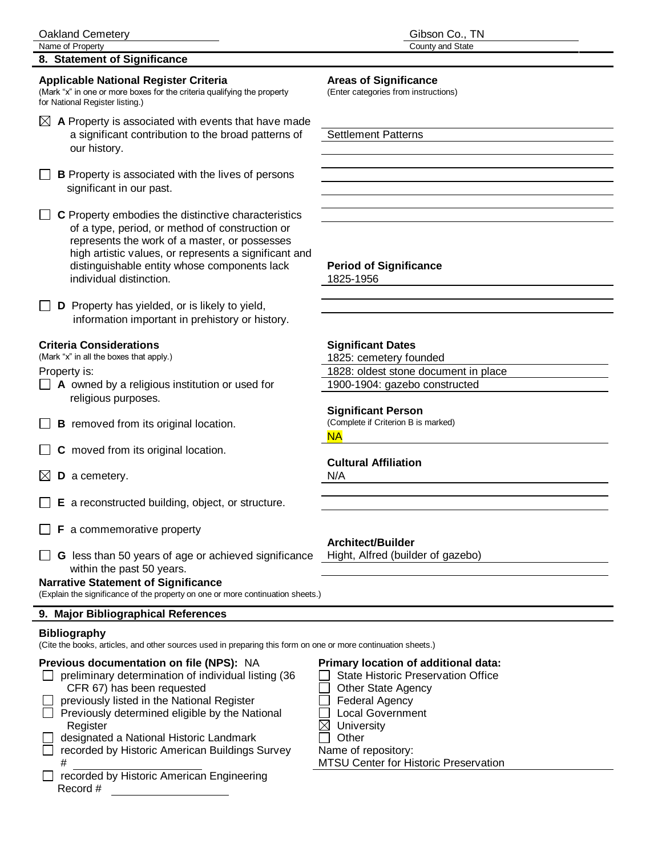#### **8. Statement of Significance**

#### **Applicable National Register Criteria Areas of Significance**

(Mark "x" in one or more boxes for the criteria qualifying the property (Enter categories from instructions) for National Register listing.)

**B** Property is associated with the lives of persons significant in our past.

 $\Box$  **C** Property embodies the distinctive characteristics of a type, period, or method of construction or represents the work of a master, or possesses high artistic values, or represents a significant and distinguishable entity whose components lack **Period of Significance** individual distinction. 1825-1956

**D** Property has yielded, or is likely to yield, information important in prehistory or history.

#### **Criteria Considerations**

(Mark "x" in all the boxes that apply.)

Property is:

- $\Box$  **A** owned by a religious institution or used for religious purposes.
- $\Box$  **B** removed from its original location.
- **C** moved from its original location.
- $\boxtimes$  **D** a cemetery.
- **E** a reconstructed building, object, or structure.
- **F** a commemorative property
- **G** less than 50 years of age or achieved significance Hight, Alfred (builder of gazebo) within the past 50 years.

#### **Narrative Statement of Significance**

(Explain the significance of the property on one or more continuation sheets.)

#### **9. Major Bibliographical References**

#### **Bibliography**

(Cite the books, articles, and other sources used in preparing this form on one or more continuation sheets.)

| preliminary determination of individual listing (36<br><b>State Historic Preservation Office</b> |  |
|--------------------------------------------------------------------------------------------------|--|
|                                                                                                  |  |
| CFR 67) has been requested<br><b>Other State Agency</b>                                          |  |
| previously listed in the National Register<br><b>Federal Agency</b>                              |  |
| <b>Local Government</b><br>Previously determined eligible by the National                        |  |
| University<br>Register                                                                           |  |
| designated a National Historic Landmark<br>Other                                                 |  |
| recorded by Historic American Buildings Survey<br>Name of repository:                            |  |
| MTSU Center for Historic Preservation<br>#                                                       |  |
| recorded by Historic American Engineering                                                        |  |
| Record #                                                                                         |  |

| 1825: cemetery founded              |                                      |  |
|-------------------------------------|--------------------------------------|--|
|                                     | 1828: oldest stone document in place |  |
|                                     | 1900-1904: gazebo constructed        |  |
|                                     |                                      |  |
| <b>Significant Person</b>           |                                      |  |
| (Complete if Criterion B is marked) |                                      |  |
| <b>NA</b>                           |                                      |  |
|                                     |                                      |  |
| <b>Cultural Affiliation</b>         |                                      |  |
| N/A                                 |                                      |  |

#### **Architect/Builder**

- her State Agency
- deral Agency
- cal Government
- hiversity
-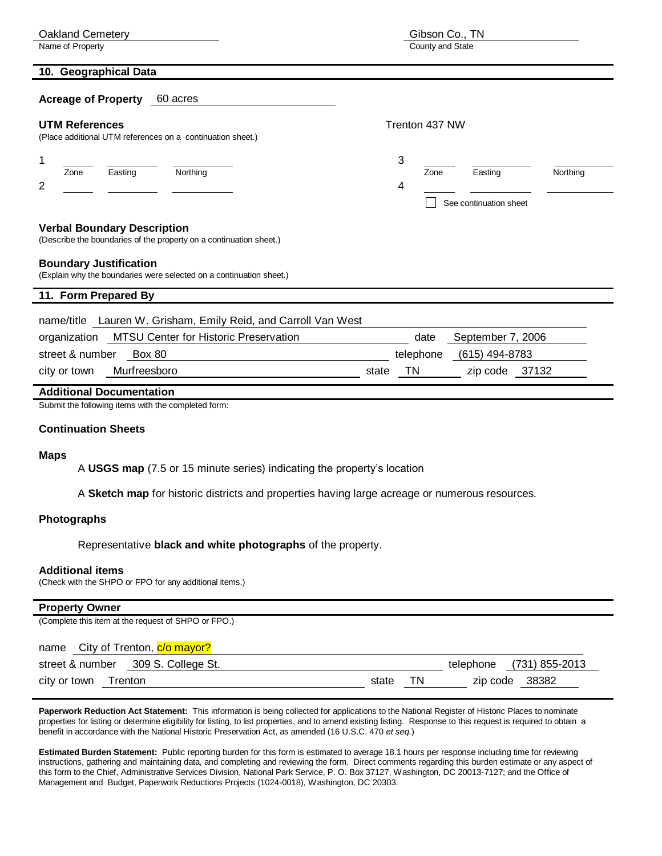| <b>Oakland Cemetery</b>                                                                                  | Gibson Co., TN                                                  |  |  |  |
|----------------------------------------------------------------------------------------------------------|-----------------------------------------------------------------|--|--|--|
| Name of Property                                                                                         | County and State                                                |  |  |  |
| 10. Geographical Data                                                                                    |                                                                 |  |  |  |
| <b>Acreage of Property</b><br>60 acres                                                                   |                                                                 |  |  |  |
| <b>UTM References</b><br>(Place additional UTM references on a continuation sheet.)                      | Trenton 437 NW                                                  |  |  |  |
| Northing<br>Zone<br>Easting<br>2                                                                         | 3<br>Northing<br>Zone<br>Easting<br>4<br>See continuation sheet |  |  |  |
| <b>Verbal Boundary Description</b><br>(Describe the boundaries of the property on a continuation sheet.) |                                                                 |  |  |  |
| <b>Boundary Justification</b><br>(Explain why the boundaries were selected on a continuation sheet.)     |                                                                 |  |  |  |
| 11. Form Prepared By                                                                                     |                                                                 |  |  |  |
| name/title Lauren W. Grisham, Emily Reid, and Carroll Van West                                           |                                                                 |  |  |  |
| MTSU Center for Historic Preservation<br>organization                                                    | September 7, 2006<br>date                                       |  |  |  |
| street & number<br><b>Box 80</b>                                                                         | telephone<br>(615) 494-8783                                     |  |  |  |
| Murfreesboro<br>city or town                                                                             | <b>TN</b><br>zip code 37132<br>state                            |  |  |  |
| <b>Additional Documentation</b>                                                                          |                                                                 |  |  |  |
| Submit the following items with the completed form:                                                      |                                                                 |  |  |  |

#### **Continuation Sheets**

#### **Maps**

A **USGS map** (7.5 or 15 minute series) indicating the property's location

A **Sketch map** for historic districts and properties having large acreage or numerous resources.

#### **Photographs**

Representative **black and white photographs** of the property.

#### **Additional items**

(Check with the SHPO or FPO for any additional items.)

## **Property Owner** (Complete this item at the request of SHPO or FPO.) name City of Trenton, c/o mayor?

| street & number |         | 309 S. College St. |       | telephone | (731) 855-2013 |
|-----------------|---------|--------------------|-------|-----------|----------------|
| city or town    | Trenton |                    | state | zip code  | 38382          |

**Paperwork Reduction Act Statement:** This information is being collected for applications to the National Register of Historic Places to nominate properties for listing or determine eligibility for listing, to list properties, and to amend existing listing. Response to this request is required to obtain a benefit in accordance with the National Historic Preservation Act, as amended (16 U.S.C. 470 *et seq.*)

**Estimated Burden Statement:** Public reporting burden for this form is estimated to average 18.1 hours per response including time for reviewing instructions, gathering and maintaining data, and completing and reviewing the form. Direct comments regarding this burden estimate or any aspect of this form to the Chief, Administrative Services Division, National Park Service, P. O. Box 37127, Washington, DC 20013-7127; and the Office of Management and Budget, Paperwork Reductions Projects (1024-0018), Washington, DC 20303.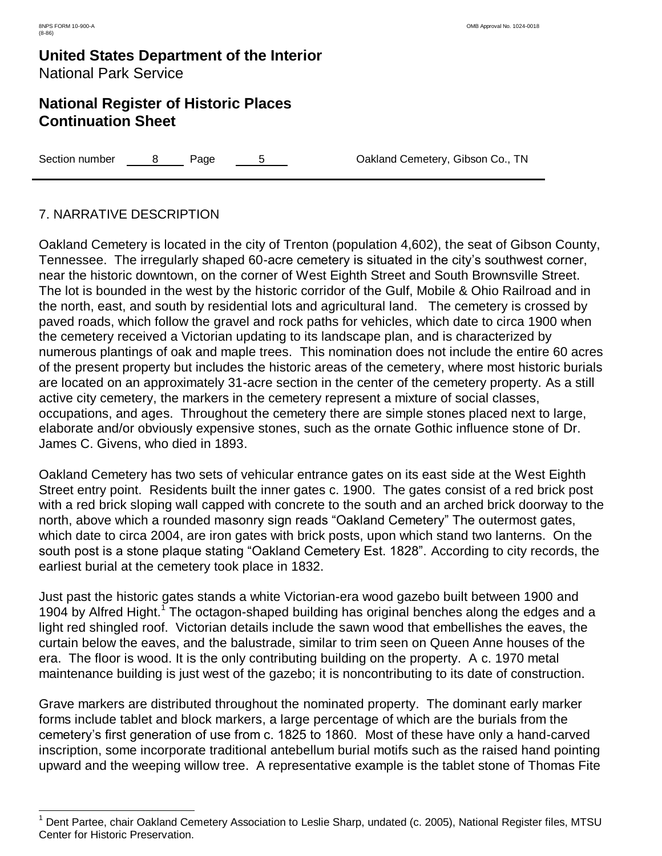$\overline{a}$ 

### **United States Department of the Interior** National Park Service

### **National Register of Historic Places Continuation Sheet**

Section number  $\begin{array}{ccc} 8 & \text{Page} & 5 & \text{Oakland Cemetery, Gibson Co., TN} \end{array}$ 

#### 7. NARRATIVE DESCRIPTION

Oakland Cemetery is located in the city of Trenton (population 4,602), the seat of Gibson County, Tennessee. The irregularly shaped 60-acre cemetery is situated in the city's southwest corner, near the historic downtown, on the corner of West Eighth Street and South Brownsville Street. The lot is bounded in the west by the historic corridor of the Gulf, Mobile & Ohio Railroad and in the north, east, and south by residential lots and agricultural land. The cemetery is crossed by paved roads, which follow the gravel and rock paths for vehicles, which date to circa 1900 when the cemetery received a Victorian updating to its landscape plan, and is characterized by numerous plantings of oak and maple trees. This nomination does not include the entire 60 acres of the present property but includes the historic areas of the cemetery, where most historic burials are located on an approximately 31-acre section in the center of the cemetery property. As a still active city cemetery, the markers in the cemetery represent a mixture of social classes, occupations, and ages. Throughout the cemetery there are simple stones placed next to large, elaborate and/or obviously expensive stones, such as the ornate Gothic influence stone of Dr. James C. Givens, who died in 1893.

Oakland Cemetery has two sets of vehicular entrance gates on its east side at the West Eighth Street entry point. Residents built the inner gates c. 1900. The gates consist of a red brick post with a red brick sloping wall capped with concrete to the south and an arched brick doorway to the north, above which a rounded masonry sign reads "Oakland Cemetery" The outermost gates, which date to circa 2004, are iron gates with brick posts, upon which stand two lanterns. On the south post is a stone plaque stating "Oakland Cemetery Est. 1828". According to city records, the earliest burial at the cemetery took place in 1832.

Just past the historic gates stands a white Victorian-era wood gazebo built between 1900 and 1904 by Alfred Hight.<sup>1</sup> The octagon-shaped building has original benches along the edges and a light red shingled roof. Victorian details include the sawn wood that embellishes the eaves, the curtain below the eaves, and the balustrade, similar to trim seen on Queen Anne houses of the era. The floor is wood. It is the only contributing building on the property. A c. 1970 metal maintenance building is just west of the gazebo; it is noncontributing to its date of construction.

Grave markers are distributed throughout the nominated property. The dominant early marker forms include tablet and block markers, a large percentage of which are the burials from the cemetery's first generation of use from c. 1825 to 1860. Most of these have only a hand-carved inscription, some incorporate traditional antebellum burial motifs such as the raised hand pointing upward and the weeping willow tree. A representative example is the tablet stone of Thomas Fite

<sup>&</sup>lt;sup>1</sup> Dent Partee, chair Oakland Cemetery Association to Leslie Sharp, undated (c. 2005), National Register files, MTSU Center for Historic Preservation.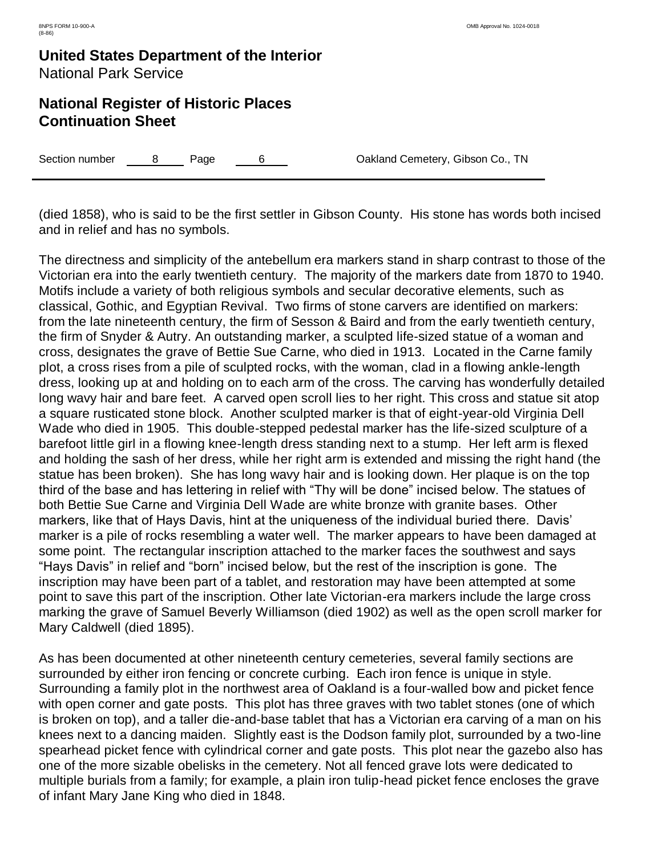### **National Register of Historic Places Continuation Sheet**

Section number  $\begin{array}{ccc} 8 & \text{Page} & 6 & \text{Oakland Cemetery, Gibson Co., TN} \end{array}$ 

(died 1858), who is said to be the first settler in Gibson County. His stone has words both incised and in relief and has no symbols.

The directness and simplicity of the antebellum era markers stand in sharp contrast to those of the Victorian era into the early twentieth century. The majority of the markers date from 1870 to 1940. Motifs include a variety of both religious symbols and secular decorative elements, such as classical, Gothic, and Egyptian Revival. Two firms of stone carvers are identified on markers: from the late nineteenth century, the firm of Sesson & Baird and from the early twentieth century, the firm of Snyder & Autry. An outstanding marker, a sculpted life-sized statue of a woman and cross, designates the grave of Bettie Sue Carne, who died in 1913. Located in the Carne family plot, a cross rises from a pile of sculpted rocks, with the woman, clad in a flowing ankle-length dress, looking up at and holding on to each arm of the cross. The carving has wonderfully detailed long wavy hair and bare feet. A carved open scroll lies to her right. This cross and statue sit atop a square rusticated stone block. Another sculpted marker is that of eight-year-old Virginia Dell Wade who died in 1905. This double-stepped pedestal marker has the life-sized sculpture of a barefoot little girl in a flowing knee-length dress standing next to a stump. Her left arm is flexed and holding the sash of her dress, while her right arm is extended and missing the right hand (the statue has been broken). She has long wavy hair and is looking down. Her plaque is on the top third of the base and has lettering in relief with "Thy will be done" incised below. The statues of both Bettie Sue Carne and Virginia Dell Wade are white bronze with granite bases. Other markers, like that of Hays Davis, hint at the uniqueness of the individual buried there. Davis' marker is a pile of rocks resembling a water well. The marker appears to have been damaged at some point. The rectangular inscription attached to the marker faces the southwest and says "Hays Davis" in relief and "born" incised below, but the rest of the inscription is gone. The inscription may have been part of a tablet, and restoration may have been attempted at some point to save this part of the inscription. Other late Victorian-era markers include the large cross marking the grave of Samuel Beverly Williamson (died 1902) as well as the open scroll marker for Mary Caldwell (died 1895).

As has been documented at other nineteenth century cemeteries, several family sections are surrounded by either iron fencing or concrete curbing. Each iron fence is unique in style. Surrounding a family plot in the northwest area of Oakland is a four-walled bow and picket fence with open corner and gate posts. This plot has three graves with two tablet stones (one of which is broken on top), and a taller die-and-base tablet that has a Victorian era carving of a man on his knees next to a dancing maiden. Slightly east is the Dodson family plot, surrounded by a two-line spearhead picket fence with cylindrical corner and gate posts. This plot near the gazebo also has one of the more sizable obelisks in the cemetery. Not all fenced grave lots were dedicated to multiple burials from a family; for example, a plain iron tulip-head picket fence encloses the grave of infant Mary Jane King who died in 1848.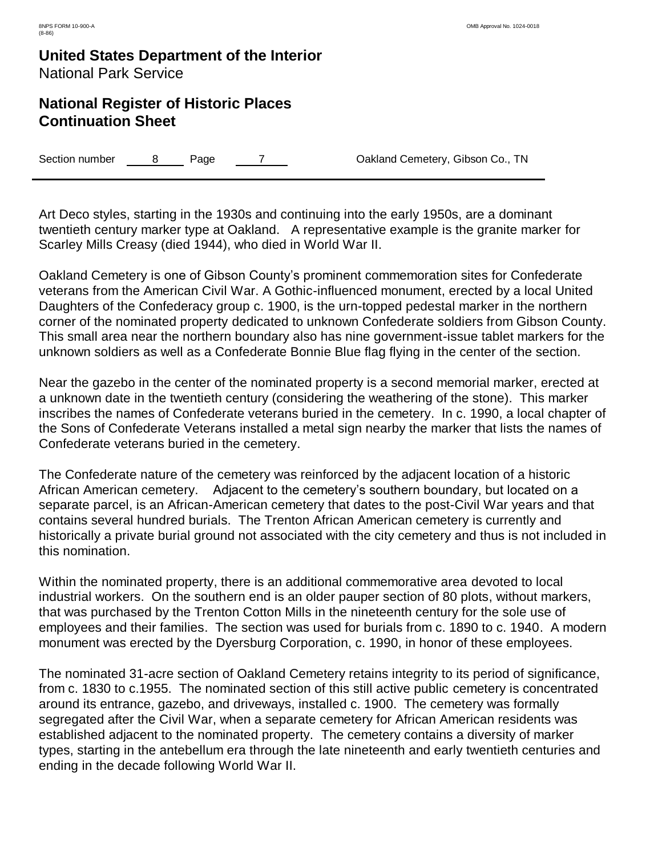### **National Register of Historic Places Continuation Sheet**

Section number a B Page 7 T Rawland Cemetery, Gibson Co., TN

Art Deco styles, starting in the 1930s and continuing into the early 1950s, are a dominant twentieth century marker type at Oakland. A representative example is the granite marker for Scarley Mills Creasy (died 1944), who died in World War II.

Oakland Cemetery is one of Gibson County's prominent commemoration sites for Confederate veterans from the American Civil War. A Gothic-influenced monument, erected by a local United Daughters of the Confederacy group c. 1900, is the urn-topped pedestal marker in the northern corner of the nominated property dedicated to unknown Confederate soldiers from Gibson County. This small area near the northern boundary also has nine government-issue tablet markers for the unknown soldiers as well as a Confederate Bonnie Blue flag flying in the center of the section.

Near the gazebo in the center of the nominated property is a second memorial marker, erected at a unknown date in the twentieth century (considering the weathering of the stone). This marker inscribes the names of Confederate veterans buried in the cemetery. In c. 1990, a local chapter of the Sons of Confederate Veterans installed a metal sign nearby the marker that lists the names of Confederate veterans buried in the cemetery.

The Confederate nature of the cemetery was reinforced by the adjacent location of a historic African American cemetery. Adjacent to the cemetery's southern boundary, but located on a separate parcel, is an African-American cemetery that dates to the post-Civil War years and that contains several hundred burials. The Trenton African American cemetery is currently and historically a private burial ground not associated with the city cemetery and thus is not included in this nomination.

Within the nominated property, there is an additional commemorative area devoted to local industrial workers. On the southern end is an older pauper section of 80 plots, without markers, that was purchased by the Trenton Cotton Mills in the nineteenth century for the sole use of employees and their families. The section was used for burials from c. 1890 to c. 1940. A modern monument was erected by the Dyersburg Corporation, c. 1990, in honor of these employees.

The nominated 31-acre section of Oakland Cemetery retains integrity to its period of significance, from c. 1830 to c.1955. The nominated section of this still active public cemetery is concentrated around its entrance, gazebo, and driveways, installed c. 1900. The cemetery was formally segregated after the Civil War, when a separate cemetery for African American residents was established adjacent to the nominated property. The cemetery contains a diversity of marker types, starting in the antebellum era through the late nineteenth and early twentieth centuries and ending in the decade following World War II.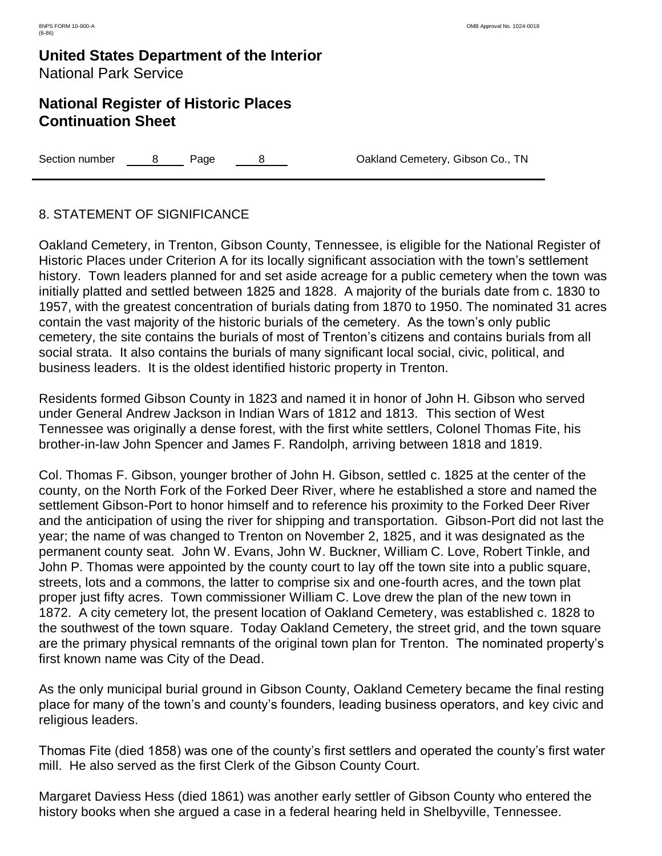### **National Register of Historic Places Continuation Sheet**

Section number  $\begin{array}{ccc} 8 & \text{Page} & 8 & \text{Oakland Cemetery, Gibson Co., TN} \end{array}$ 

#### 8. STATEMENT OF SIGNIFICANCE

Oakland Cemetery, in Trenton, Gibson County, Tennessee, is eligible for the National Register of Historic Places under Criterion A for its locally significant association with the town's settlement history. Town leaders planned for and set aside acreage for a public cemetery when the town was initially platted and settled between 1825 and 1828. A majority of the burials date from c. 1830 to 1957, with the greatest concentration of burials dating from 1870 to 1950. The nominated 31 acres contain the vast majority of the historic burials of the cemetery. As the town's only public cemetery, the site contains the burials of most of Trenton's citizens and contains burials from all social strata. It also contains the burials of many significant local social, civic, political, and business leaders. It is the oldest identified historic property in Trenton.

Residents formed Gibson County in 1823 and named it in honor of John H. Gibson who served under General Andrew Jackson in Indian Wars of 1812 and 1813. This section of West Tennessee was originally a dense forest, with the first white settlers, Colonel Thomas Fite, his brother-in-law John Spencer and James F. Randolph, arriving between 1818 and 1819.

Col. Thomas F. Gibson, younger brother of John H. Gibson, settled c. 1825 at the center of the county, on the North Fork of the Forked Deer River, where he established a store and named the settlement Gibson-Port to honor himself and to reference his proximity to the Forked Deer River and the anticipation of using the river for shipping and transportation. Gibson-Port did not last the year; the name of was changed to Trenton on November 2, 1825, and it was designated as the permanent county seat. John W. Evans, John W. Buckner, William C. Love, Robert Tinkle, and John P. Thomas were appointed by the county court to lay off the town site into a public square, streets, lots and a commons, the latter to comprise six and one-fourth acres, and the town plat proper just fifty acres. Town commissioner William C. Love drew the plan of the new town in 1872. A city cemetery lot, the present location of Oakland Cemetery, was established c. 1828 to the southwest of the town square. Today Oakland Cemetery, the street grid, and the town square are the primary physical remnants of the original town plan for Trenton. The nominated property's first known name was City of the Dead.

As the only municipal burial ground in Gibson County, Oakland Cemetery became the final resting place for many of the town's and county's founders, leading business operators, and key civic and religious leaders.

Thomas Fite (died 1858) was one of the county's first settlers and operated the county's first water mill. He also served as the first Clerk of the Gibson County Court.

Margaret Daviess Hess (died 1861) was another early settler of Gibson County who entered the history books when she argued a case in a federal hearing held in Shelbyville, Tennessee.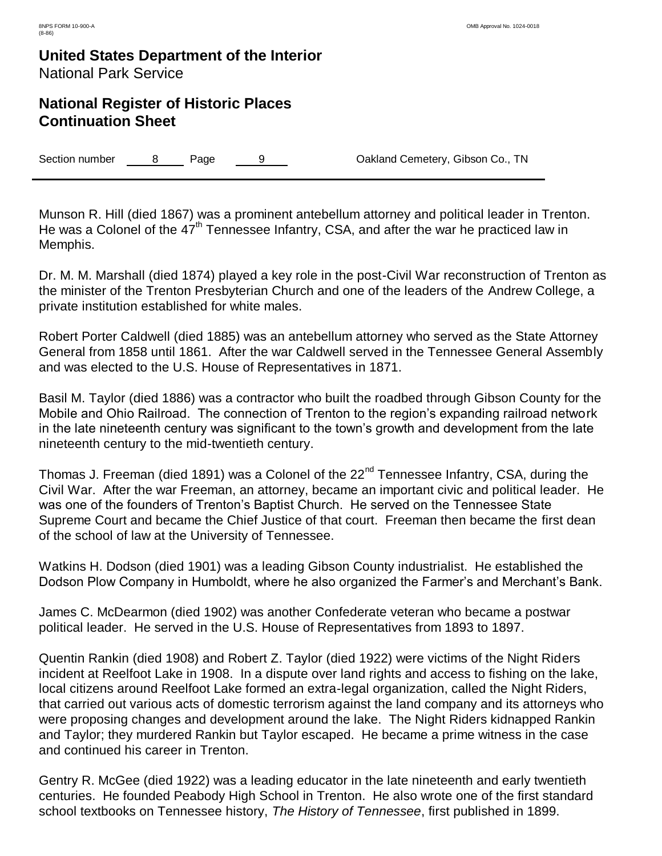### **National Register of Historic Places Continuation Sheet**

Section number a B Page 9 9 Dakland Cemetery, Gibson Co., TN

Munson R. Hill (died 1867) was a prominent antebellum attorney and political leader in Trenton. He was a Colonel of the  $47<sup>th</sup>$  Tennessee Infantry, CSA, and after the war he practiced law in Memphis.

Dr. M. M. Marshall (died 1874) played a key role in the post-Civil War reconstruction of Trenton as the minister of the Trenton Presbyterian Church and one of the leaders of the Andrew College, a private institution established for white males.

Robert Porter Caldwell (died 1885) was an antebellum attorney who served as the State Attorney General from 1858 until 1861. After the war Caldwell served in the Tennessee General Assembly and was elected to the U.S. House of Representatives in 1871.

Basil M. Taylor (died 1886) was a contractor who built the roadbed through Gibson County for the Mobile and Ohio Railroad. The connection of Trenton to the region's expanding railroad network in the late nineteenth century was significant to the town's growth and development from the late nineteenth century to the mid-twentieth century.

Thomas J. Freeman (died 1891) was a Colonel of the 22<sup>nd</sup> Tennessee Infantry, CSA, during the Civil War. After the war Freeman, an attorney, became an important civic and political leader. He was one of the founders of Trenton's Baptist Church. He served on the Tennessee State Supreme Court and became the Chief Justice of that court. Freeman then became the first dean of the school of law at the University of Tennessee.

Watkins H. Dodson (died 1901) was a leading Gibson County industrialist. He established the Dodson Plow Company in Humboldt, where he also organized the Farmer's and Merchant's Bank.

James C. McDearmon (died 1902) was another Confederate veteran who became a postwar political leader. He served in the U.S. House of Representatives from 1893 to 1897.

Quentin Rankin (died 1908) and Robert Z. Taylor (died 1922) were victims of the Night Riders incident at Reelfoot Lake in 1908. In a dispute over land rights and access to fishing on the lake, local citizens around Reelfoot Lake formed an extra-legal organization, called the Night Riders, that carried out various acts of domestic terrorism against the land company and its attorneys who were proposing changes and development around the lake. The Night Riders kidnapped Rankin and Taylor; they murdered Rankin but Taylor escaped. He became a prime witness in the case and continued his career in Trenton.

Gentry R. McGee (died 1922) was a leading educator in the late nineteenth and early twentieth centuries. He founded Peabody High School in Trenton. He also wrote one of the first standard school textbooks on Tennessee history, *The History of Tennessee*, first published in 1899.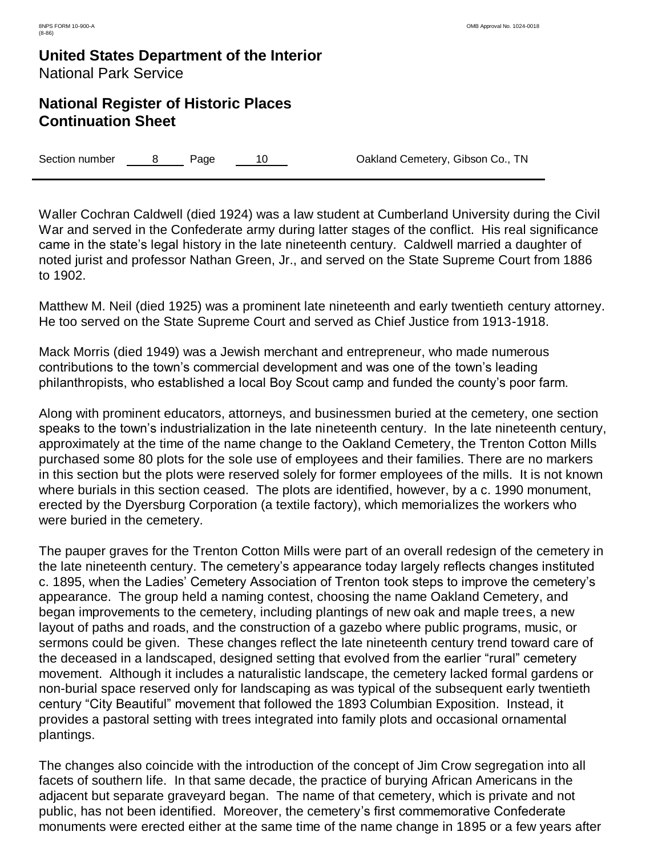### **National Register of Historic Places Continuation Sheet**

Section number a B Page 10 Cakland Cemetery, Gibson Co., TN

Waller Cochran Caldwell (died 1924) was a law student at Cumberland University during the Civil War and served in the Confederate army during latter stages of the conflict. His real significance came in the state's legal history in the late nineteenth century. Caldwell married a daughter of noted jurist and professor Nathan Green, Jr., and served on the State Supreme Court from 1886 to 1902.

Matthew M. Neil (died 1925) was a prominent late nineteenth and early twentieth century attorney. He too served on the State Supreme Court and served as Chief Justice from 1913-1918.

Mack Morris (died 1949) was a Jewish merchant and entrepreneur, who made numerous contributions to the town's commercial development and was one of the town's leading philanthropists, who established a local Boy Scout camp and funded the county's poor farm.

Along with prominent educators, attorneys, and businessmen buried at the cemetery, one section speaks to the town's industrialization in the late nineteenth century. In the late nineteenth century, approximately at the time of the name change to the Oakland Cemetery, the Trenton Cotton Mills purchased some 80 plots for the sole use of employees and their families. There are no markers in this section but the plots were reserved solely for former employees of the mills. It is not known where burials in this section ceased. The plots are identified, however, by a c. 1990 monument, erected by the Dyersburg Corporation (a textile factory), which memorializes the workers who were buried in the cemetery.

The pauper graves for the Trenton Cotton Mills were part of an overall redesign of the cemetery in the late nineteenth century. The cemetery's appearance today largely reflects changes instituted c. 1895, when the Ladies' Cemetery Association of Trenton took steps to improve the cemetery's appearance. The group held a naming contest, choosing the name Oakland Cemetery, and began improvements to the cemetery, including plantings of new oak and maple trees, a new layout of paths and roads, and the construction of a gazebo where public programs, music, or sermons could be given. These changes reflect the late nineteenth century trend toward care of the deceased in a landscaped, designed setting that evolved from the earlier "rural" cemetery movement. Although it includes a naturalistic landscape, the cemetery lacked formal gardens or non-burial space reserved only for landscaping as was typical of the subsequent early twentieth century "City Beautiful" movement that followed the 1893 Columbian Exposition. Instead, it provides a pastoral setting with trees integrated into family plots and occasional ornamental plantings.

The changes also coincide with the introduction of the concept of Jim Crow segregation into all facets of southern life. In that same decade, the practice of burying African Americans in the adjacent but separate graveyard began. The name of that cemetery, which is private and not public, has not been identified. Moreover, the cemetery's first commemorative Confederate monuments were erected either at the same time of the name change in 1895 or a few years after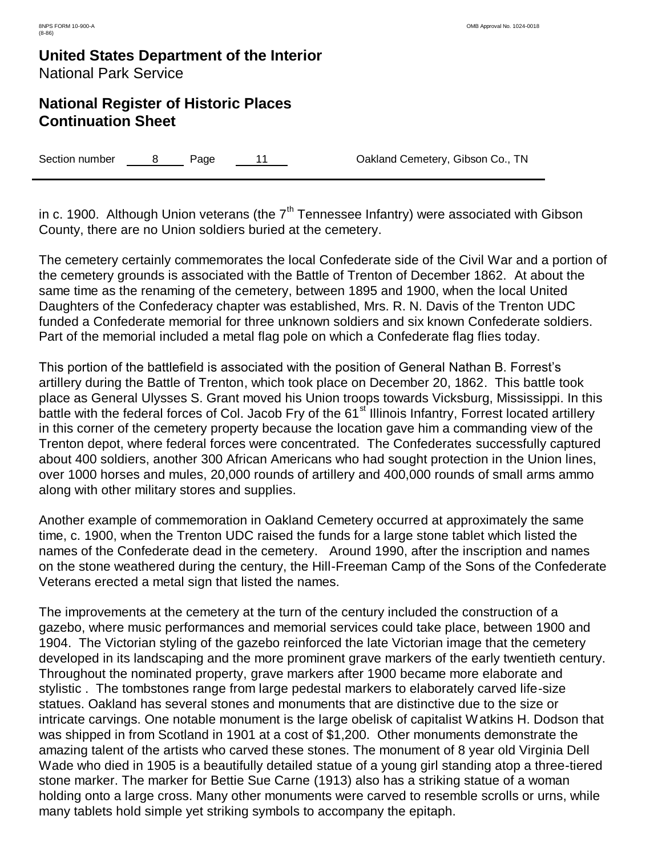### **National Register of Historic Places Continuation Sheet**

Section number 8 Page 11 Oakland Cemetery, Gibson Co., TN

in c. 1900. Although Union veterans (the  $7<sup>th</sup>$  Tennessee Infantry) were associated with Gibson County, there are no Union soldiers buried at the cemetery.

The cemetery certainly commemorates the local Confederate side of the Civil War and a portion of the cemetery grounds is associated with the Battle of Trenton of December 1862. At about the same time as the renaming of the cemetery, between 1895 and 1900, when the local United Daughters of the Confederacy chapter was established, Mrs. R. N. Davis of the Trenton UDC funded a Confederate memorial for three unknown soldiers and six known Confederate soldiers. Part of the memorial included a metal flag pole on which a Confederate flag flies today.

This portion of the battlefield is associated with the position of General Nathan B. Forrest's artillery during the Battle of Trenton, which took place on December 20, 1862. This battle took place as General Ulysses S. Grant moved his Union troops towards Vicksburg, Mississippi. In this battle with the federal forces of Col. Jacob Fry of the 61<sup>st</sup> Illinois Infantry, Forrest located artillery in this corner of the cemetery property because the location gave him a commanding view of the Trenton depot, where federal forces were concentrated. The Confederates successfully captured about 400 soldiers, another 300 African Americans who had sought protection in the Union lines, over 1000 horses and mules, 20,000 rounds of artillery and 400,000 rounds of small arms ammo along with other military stores and supplies.

Another example of commemoration in Oakland Cemetery occurred at approximately the same time, c. 1900, when the Trenton UDC raised the funds for a large stone tablet which listed the names of the Confederate dead in the cemetery. Around 1990, after the inscription and names on the stone weathered during the century, the Hill-Freeman Camp of the Sons of the Confederate Veterans erected a metal sign that listed the names.

The improvements at the cemetery at the turn of the century included the construction of a gazebo, where music performances and memorial services could take place, between 1900 and 1904. The Victorian styling of the gazebo reinforced the late Victorian image that the cemetery developed in its landscaping and the more prominent grave markers of the early twentieth century. Throughout the nominated property, grave markers after 1900 became more elaborate and stylistic . The tombstones range from large pedestal markers to elaborately carved life-size statues. Oakland has several stones and monuments that are distinctive due to the size or intricate carvings. One notable monument is the large obelisk of capitalist Watkins H. Dodson that was shipped in from Scotland in 1901 at a cost of \$1,200. Other monuments demonstrate the amazing talent of the artists who carved these stones. The monument of 8 year old Virginia Dell Wade who died in 1905 is a beautifully detailed statue of a young girl standing atop a three-tiered stone marker. The marker for Bettie Sue Carne (1913) also has a striking statue of a woman holding onto a large cross. Many other monuments were carved to resemble scrolls or urns, while many tablets hold simple yet striking symbols to accompany the epitaph.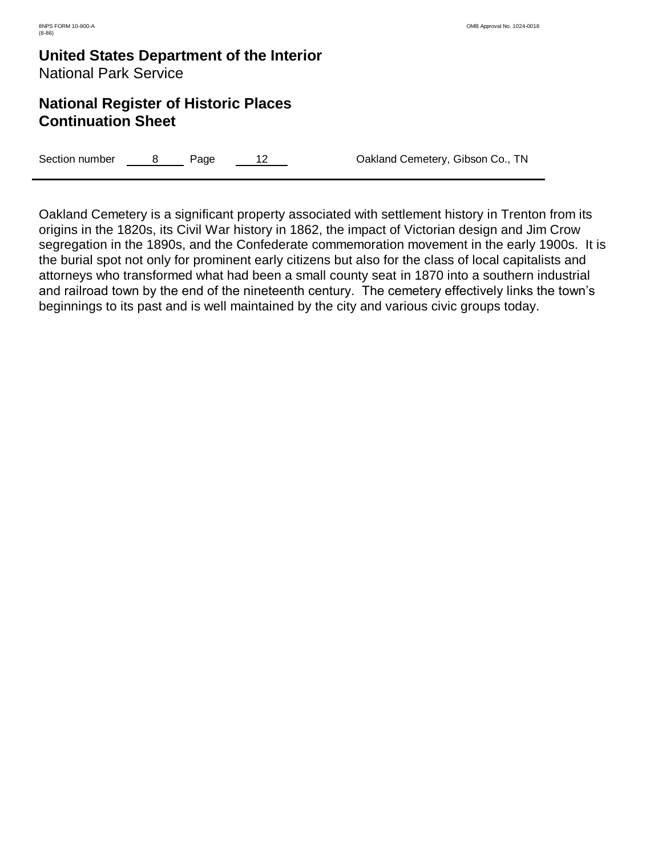### **National Register of Historic Places Continuation Sheet**

Section number a B Page 12 Cakland Cemetery, Gibson Co., TN

Oakland Cemetery is a significant property associated with settlement history in Trenton from its origins in the 1820s, its Civil War history in 1862, the impact of Victorian design and Jim Crow segregation in the 1890s, and the Confederate commemoration movement in the early 1900s. It is the burial spot not only for prominent early citizens but also for the class of local capitalists and attorneys who transformed what had been a small county seat in 1870 into a southern industrial and railroad town by the end of the nineteenth century. The cemetery effectively links the town's beginnings to its past and is well maintained by the city and various civic groups today.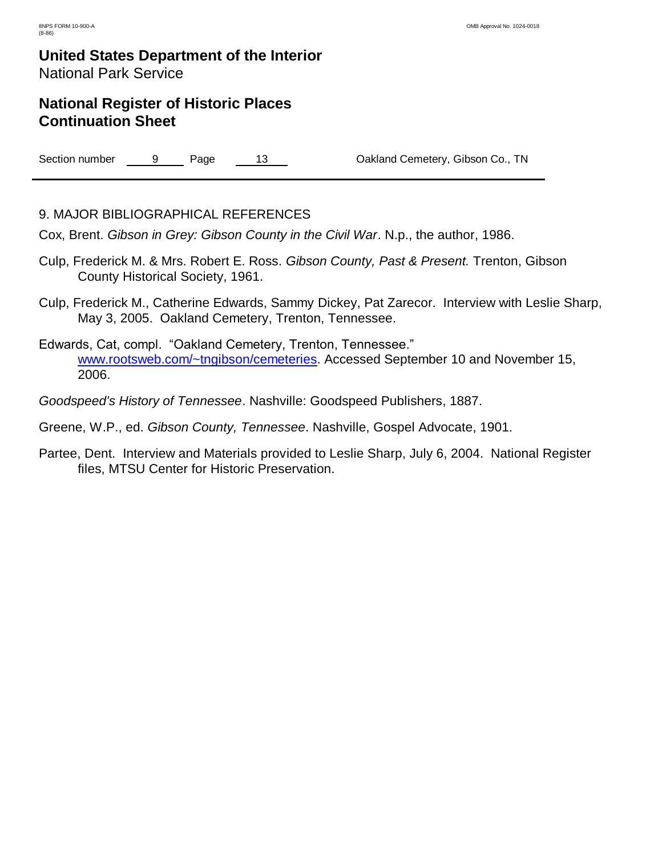### **National Register of Historic Places Continuation Sheet**

Section number 9 Page 13 Oakland Cemetery, Gibson Co., TN

#### 9. MAJOR BIBLIOGRAPHICAL REFERENCES

Cox, Brent. *Gibson in Grey: Gibson County in the Civil War*. N.p., the author, 1986.

- Culp, Frederick M. & Mrs. Robert E. Ross. *Gibson County, Past & Present.* Trenton, Gibson County Historical Society, 1961.
- Culp, Frederick M., Catherine Edwards, Sammy Dickey, Pat Zarecor. Interview with Leslie Sharp, May 3, 2005. Oakland Cemetery, Trenton, Tennessee.
- Edwards, Cat, compl. "Oakland Cemetery, Trenton, Tennessee." [www.rootsweb.com/~tngibson/cemeteries.](http://www.rootsweb.com/~tngibson/cemeteries) Accessed September 10 and November 15, 2006.
- *Goodspeed's History of Tennessee*. Nashville: Goodspeed Publishers, 1887.
- Greene, W.P., ed. *Gibson County, Tennessee*. Nashville, Gospel Advocate, 1901.
- Partee, Dent. Interview and Materials provided to Leslie Sharp, July 6, 2004. National Register files, MTSU Center for Historic Preservation.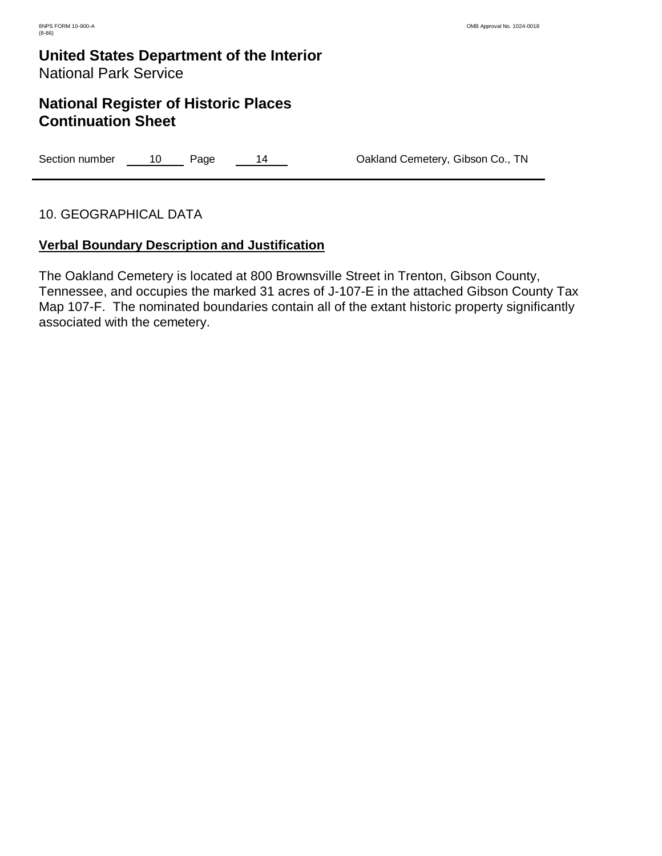### **National Register of Historic Places Continuation Sheet**

Section number 10 Page 14 Oakland Cemetery, Gibson Co., TN

#### 10. GEOGRAPHICAL DATA

#### **Verbal Boundary Description and Justification**

The Oakland Cemetery is located at 800 Brownsville Street in Trenton, Gibson County, Tennessee, and occupies the marked 31 acres of J-107-E in the attached Gibson County Tax Map 107-F. The nominated boundaries contain all of the extant historic property significantly associated with the cemetery.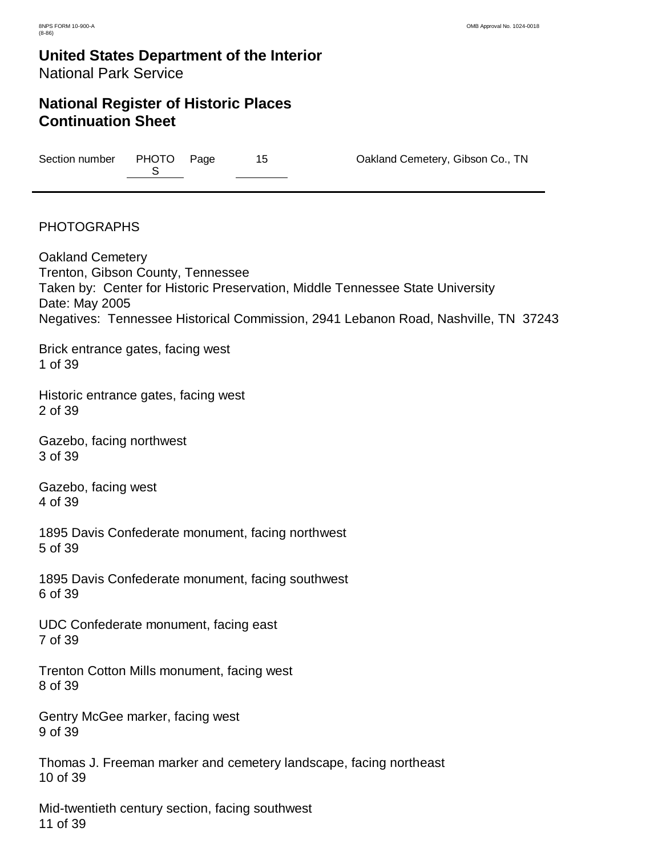# **United States Department of the Interior**

### National Park Service

#### **National Register of Historic Places Continuation Sheet**

Section number PHOTO Page S

15 **Page 15** Oakland Cemetery, Gibson Co., TN

#### PHOTOGRAPHS

Oakland Cemetery Trenton, Gibson County, Tennessee Taken by: Center for Historic Preservation, Middle Tennessee State University Date: May 2005 Negatives: Tennessee Historical Commission, 2941 Lebanon Road, Nashville, TN 37243

Brick entrance gates, facing west 1 of 39

Historic entrance gates, facing west 2 of 39

Gazebo, facing northwest 3 of 39

Gazebo, facing west 4 of 39

1895 Davis Confederate monument, facing northwest 5 of 39

1895 Davis Confederate monument, facing southwest 6 of 39

UDC Confederate monument, facing east 7 of 39

Trenton Cotton Mills monument, facing west 8 of 39

Gentry McGee marker, facing west 9 of 39

Thomas J. Freeman marker and cemetery landscape, facing northeast 10 of 39

Mid-twentieth century section, facing southwest 11 of 39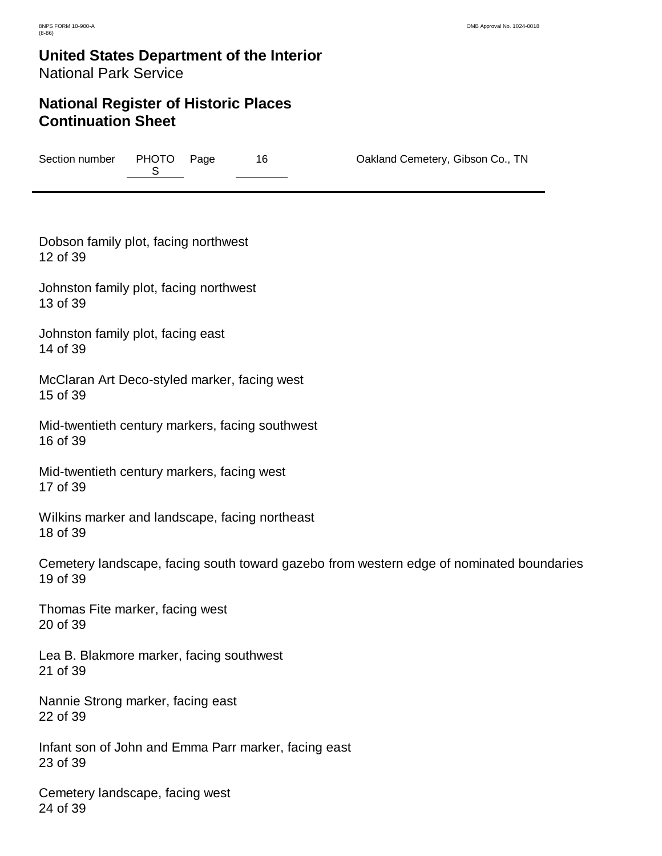# **United States Department of the Interior**

### National Park Service

#### **National Register of Historic Places Continuation Sheet**

Section number PHOTO Page  $S$ 

16 **Page 16 Oakland Cemetery, Gibson Co., TN** 

Dobson family plot, facing northwest 12 of 39

Johnston family plot, facing northwest 13 of 39

Johnston family plot, facing east 14 of 39

McClaran Art Deco-styled marker, facing west 15 of 39

Mid-twentieth century markers, facing southwest 16 of 39

Mid-twentieth century markers, facing west 17 of 39

Wilkins marker and landscape, facing northeast 18 of 39

Cemetery landscape, facing south toward gazebo from western edge of nominated boundaries 19 of 39

Thomas Fite marker, facing west 20 of 39

Lea B. Blakmore marker, facing southwest 21 of 39

Nannie Strong marker, facing east 22 of 39

Infant son of John and Emma Parr marker, facing east 23 of 39

Cemetery landscape, facing west 24 of 39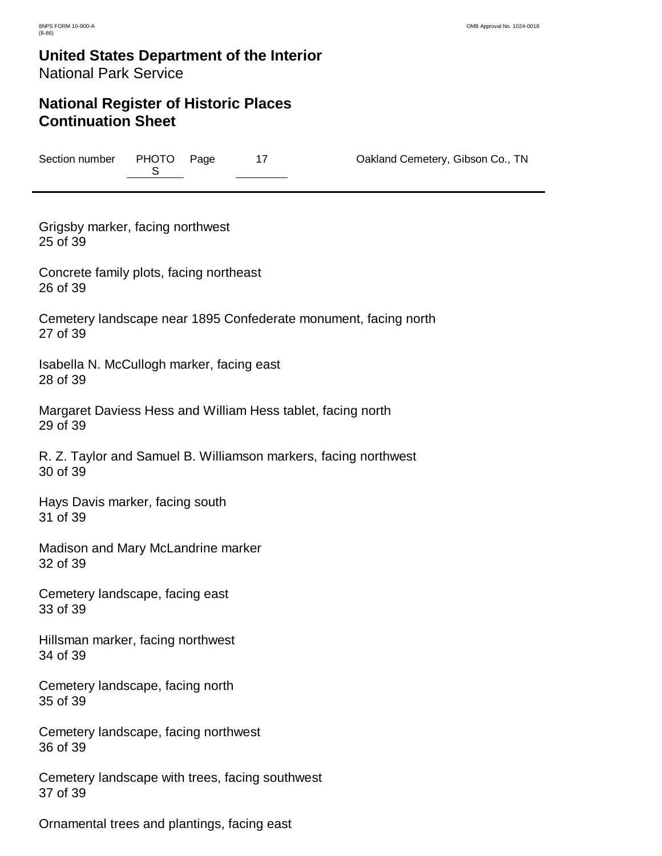# **United States Department of the Interior**

National Park Service

#### **National Register of Historic Places Continuation Sheet**

Section number PHOTO Page S

17 **Pakland Cemetery, Gibson Co., TN** 

Grigsby marker, facing northwest 25 of 39

Concrete family plots, facing northeast 26 of 39

Cemetery landscape near 1895 Confederate monument, facing north 27 of 39

Isabella N. McCullogh marker, facing east 28 of 39

Margaret Daviess Hess and William Hess tablet, facing north 29 of 39

R. Z. Taylor and Samuel B. Williamson markers, facing northwest 30 of 39

Hays Davis marker, facing south 31 of 39

Madison and Mary McLandrine marker 32 of 39

Cemetery landscape, facing east 33 of 39

Hillsman marker, facing northwest 34 of 39

Cemetery landscape, facing north 35 of 39

Cemetery landscape, facing northwest 36 of 39

Cemetery landscape with trees, facing southwest 37 of 39

Ornamental trees and plantings, facing east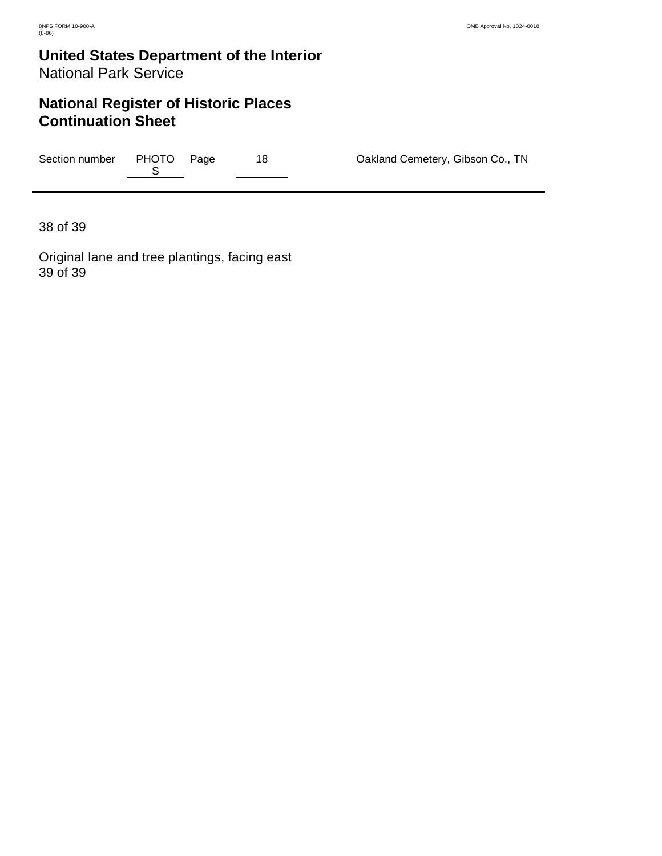## **National Register of Historic Places Continuation Sheet**

| Section number | PHOTO Page |  | Oakland Cemetery, Gibson Co., TN |
|----------------|------------|--|----------------------------------|
|                |            |  |                                  |

38 of 39

Original lane and tree plantings, facing east 39 of 39